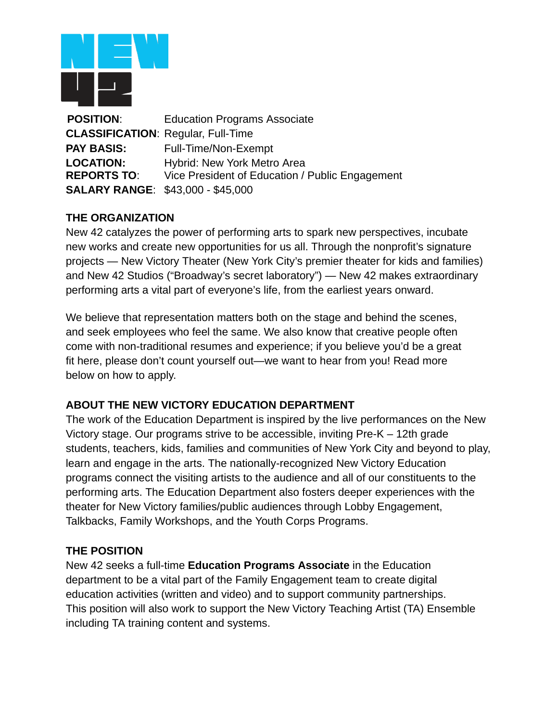

**POSITION**: Education Programs Associate **CLASSIFICATION**: Regular, Full-Time **PAY BASIS:** Full-Time/Non-Exempt **LOCATION:** Hybrid: New York Metro Area **REPORTS TO**: Vice President of Education / Public Engagement **SALARY RANGE**: \$43,000 - \$45,000

# **THE ORGANIZATION**

New 42 catalyzes the power of performing arts to spark new perspectives, incubate new works and create new opportunities for us all. Through the nonprofit's signature projects — New Victory Theater (New York City's premier theater for kids and families) and New 42 Studios ("Broadway's secret laboratory") — New 42 makes extraordinary performing arts a vital part of everyone's life, from the earliest years onward.

We believe that representation matters both on the stage and behind the scenes, and seek employees who feel the same. We also know that creative people often come with non-traditional resumes and experience; if you believe you'd be a great fit here, please don't count yourself out—we want to hear from you! Read more below on how to apply.

# **ABOUT THE NEW VICTORY EDUCATION DEPARTMENT**

The work of the Education Department is inspired by the live performances on the New Victory stage. Our programs strive to be accessible, inviting Pre-K – 12th grade students, teachers, kids, families and communities of New York City and beyond to play, learn and engage in the arts. The nationally-recognized New Victory Education programs connect the visiting artists to the audience and all of our constituents to the performing arts. The Education Department also fosters deeper experiences with the theater for New Victory families/public audiences through Lobby Engagement, Talkbacks, Family Workshops, and the Youth Corps Programs.

#### **THE POSITION**

New 42 seeks a full-time **Education Programs Associate** in the Education department to be a vital part of the Family Engagement team to create digital education activities (written and video) and to support community partnerships. This position will also work to support the New Victory Teaching Artist (TA) Ensemble including TA training content and systems.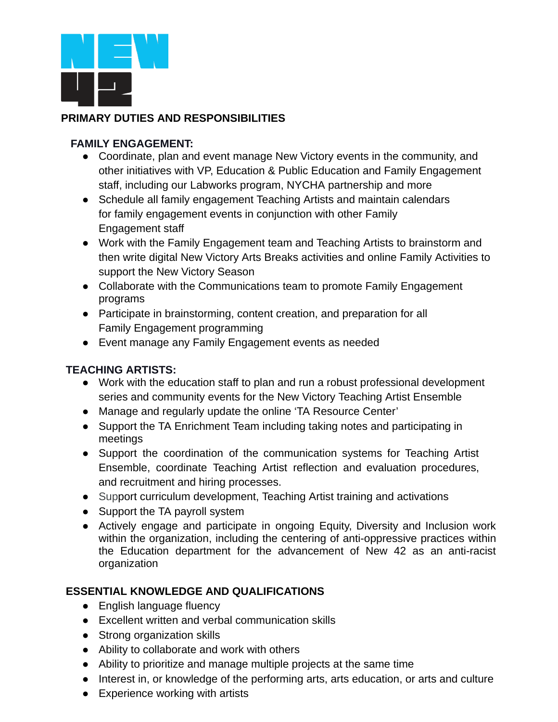

# **PRIMARY DUTIES AND RESPONSIBILITIES**

#### **FAMILY ENGAGEMENT:**

- Coordinate, plan and event manage New Victory events in the community, and other initiatives with VP, Education & Public Education and Family Engagement staff, including our Labworks program, NYCHA partnership and more
- Schedule all family engagement Teaching Artists and maintain calendars for family engagement events in conjunction with other Family Engagement staff
- Work with the Family Engagement team and Teaching Artists to brainstorm and then write digital New Victory Arts Breaks activities and online Family Activities to support the New Victory Season
- Collaborate with the Communications team to promote Family Engagement programs
- Participate in brainstorming, content creation, and preparation for all Family Engagement programming
- Event manage any Family Engagement events as needed

# **TEACHING ARTISTS:**

- Work with the education staff to plan and run a robust professional development series and community events for the New Victory Teaching Artist Ensemble
- Manage and regularly update the online 'TA Resource Center'
- Support the TA Enrichment Team including taking notes and participating in meetings
- Support the coordination of the communication systems for Teaching Artist Ensemble, coordinate Teaching Artist reflection and evaluation procedures, and recruitment and hiring processes.
- Support curriculum development, Teaching Artist training and activations
- Support the TA payroll system
- Actively engage and participate in ongoing Equity, Diversity and Inclusion work within the organization, including the centering of anti-oppressive practices within the Education department for the advancement of New 42 as an anti-racist organization

# **ESSENTIAL KNOWLEDGE AND QUALIFICATIONS**

- English language fluency
- Excellent written and verbal communication skills
- Strong organization skills
- Ability to collaborate and work with others
- Ability to prioritize and manage multiple projects at the same time
- Interest in, or knowledge of the performing arts, arts education, or arts and culture
- Experience working with artists